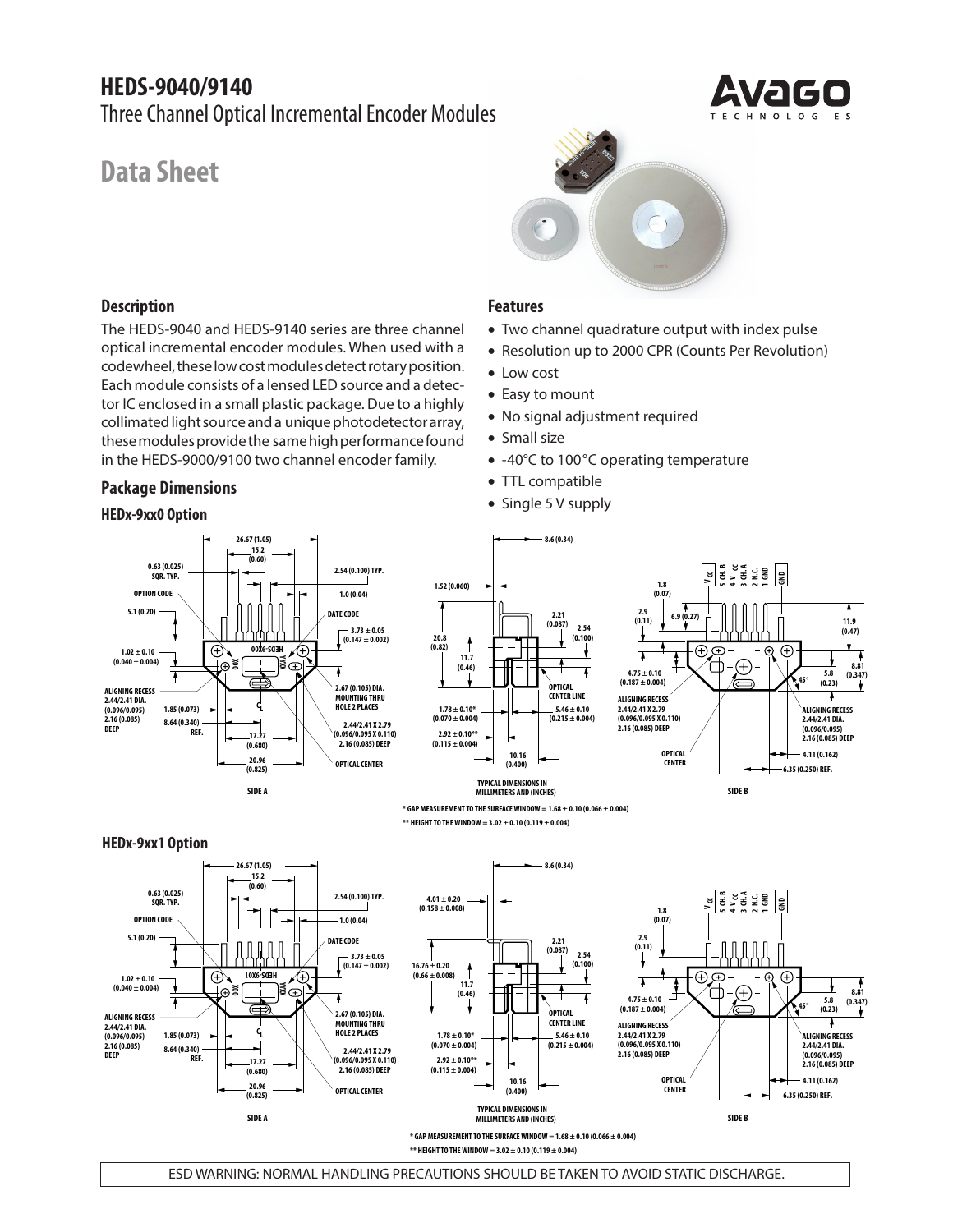## **HEDS-9040/9140**

Three Channel Optical Incremental Encoder Modules

# **Data Sheet**



## **Description**

The HEDS-9040 and HEDS-9140 series are three channel optical incremental encoder modules. When used with a codewheel, these low cost modules detect rotary position. Each module consists of a lensed LED source and a detector IC enclosed in a small plastic package. Due to a highly collimated light source and a unique photodetector array, these modules provide the same high performance found in the HEDS-9000/9100 two channel encoder family.

## **Package Dimensions**

#### **HEDx-9xx0 Option**





**\*\* HEIGHT TO THE WINDOW = 3.02 ± 0.10 (0.119 ± 0.004)**

**8.6 (0.34)**











**\* GAP MEASUREMENT TO THE SURFACE WINDOW = 1.68 ± 0.10 (0.066 ± 0.004) \*\* HEIGHT TO THE WINDOW = 3.02 ± 0.10 (0.119 ± 0.004)**



**Features** • Two channel quadrature output with index pulse • Resolution up to 2000 CPR (Counts Per Revolution)

- Low cost
- Easy to mount
- No signal adjustment required
- Small size
- -40°C to 100°C operating temperature
- TTL compatible
- Single 5 V supply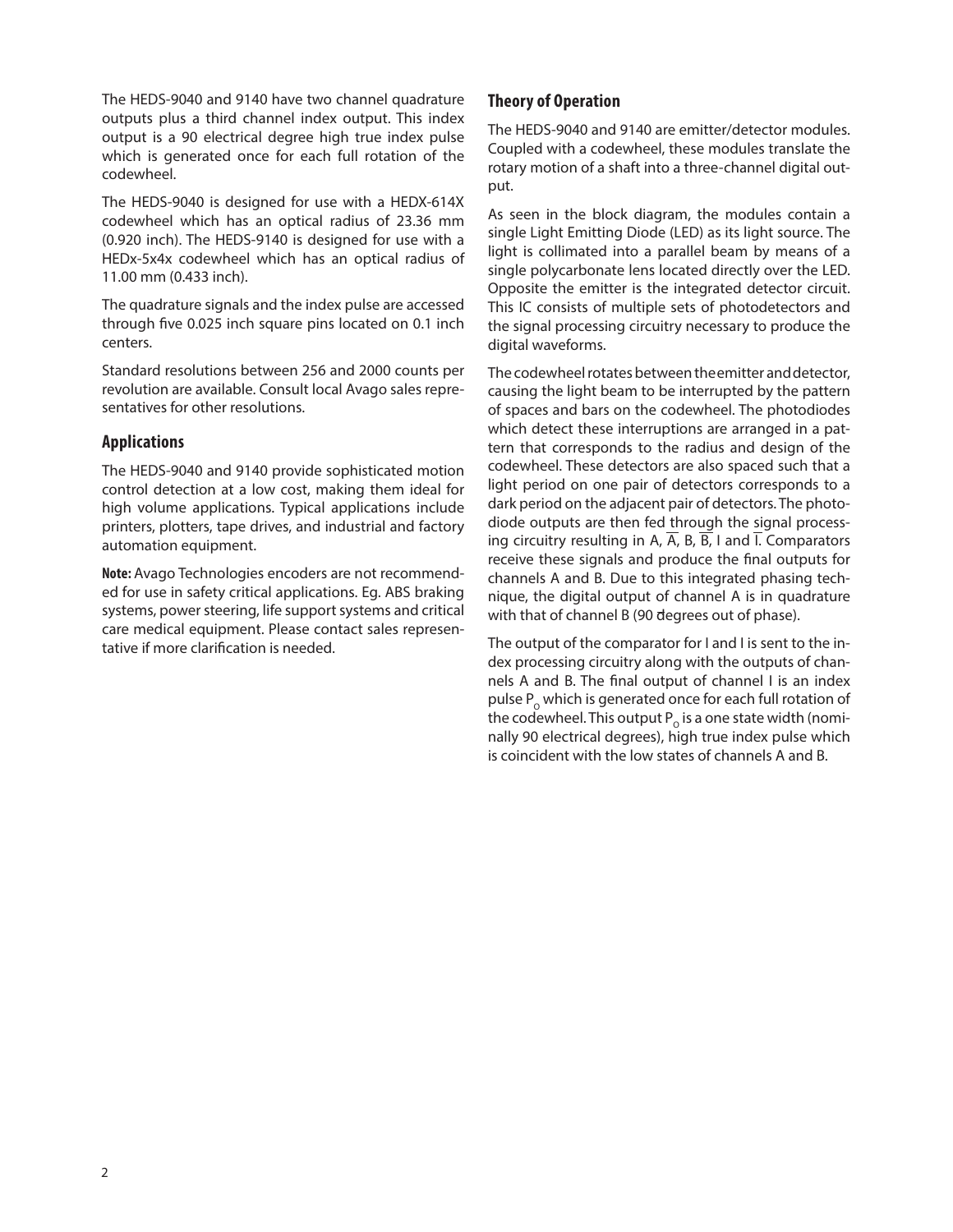The HEDS-9040 and 9140 have two channel quadrature outputs plus a third channel index output. This index output is a 90 electrical degree high true index pulse which is generated once for each full rotation of the codewheel.

The HEDS-9040 is designed for use with a HEDX-614X codewheel which has an optical radius of 23.36 mm (0.920 inch). The HEDS-9140 is designed for use with a HEDx-5x4x codewheel which has an optical radius of 11.00 mm (0.433 inch).

The quadrature signals and the index pulse are accessed through five 0.025 inch square pins located on 0.1 inch centers.

Standard resolutions between 256 and 2000 counts per revolution are available. Consult local Avago sales representatives for other resolutions.

## **Applications**

The HEDS-9040 and 9140 provide sophisticated motion control detection at a low cost, making them ideal for high volume applications. Typical applications include printers, plotters, tape drives, and industrial and factory automation equipment.

**Note:** Avago Technologies encoders are not recommended for use in safety critical applications. Eg. ABS braking systems, power steering, life support systems and critical care medical equipment. Please contact sales representative if more clarification is needed.

## **Theory of Operation**

The HEDS-9040 and 9140 are emitter/detector modules. Coupled with a codewheel, these modules translate the rotary motion of a shaft into a three-channel digital output.

As seen in the block diagram, the modules contain a single Light Emitting Diode (LED) as its light source. The light is collimated into a parallel beam by means of a single polycarbonate lens located directly over the LED. Opposite the emitter is the integrated detector circuit. This IC consists of multiple sets of photodetectors and the signal processing circuitry necessary to produce the digital waveforms.

The codewheel rotates between the emitter and detector, causing the light beam to be interrupted by the pattern of spaces and bars on the codewheel. The photodiodes which detect these interruptions are arranged in a pattern that corresponds to the radius and design of the codewheel. These detectors are also spaced such that a light period on one pair of detectors corresponds to a dark period on the adjacent pair of detectors. The photodiode outputs are then fed through the signal processing circuitry resulting in A,  $\overline{A}$ , B,  $\overline{B}$ , I and I. Comparators receive these signals and produce the final outputs for channels A and B. Due to this integrated phasing technique, the digital output of channel A is in quadrature with that of channel B (90 degrees out of phase).

The output of the comparator for I and I is sent to the index processing circuitry along with the outputs of channels A and B. The final output of channel I is an index pulse  $P_0$  which is generated once for each full rotation of the codewheel. This output  $P_0$  is a one state width (nominally 90 electrical degrees), high true index pulse which is coincident with the low states of channels A and B.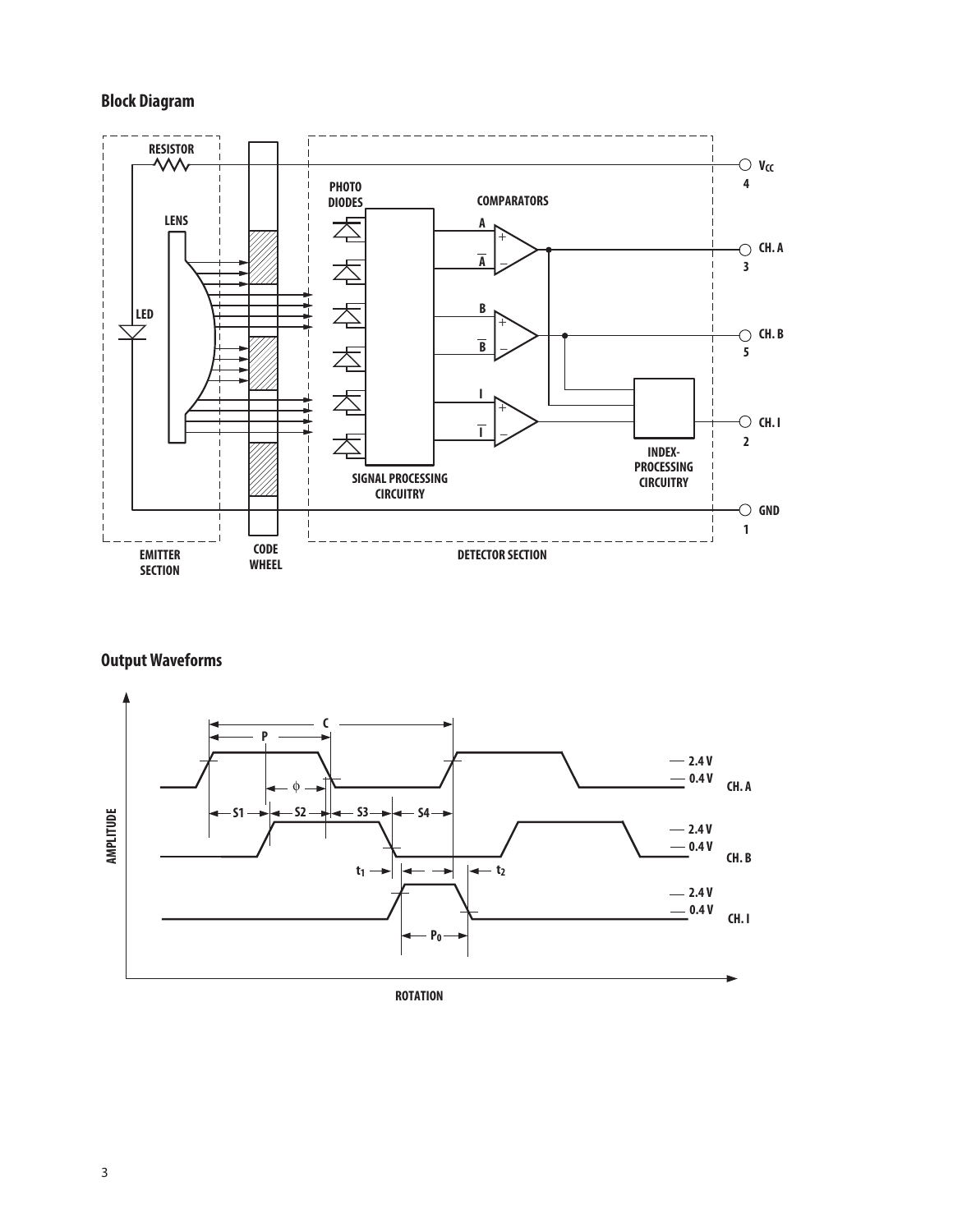## **Block Diagram**



**Output Waveforms**



**ROTATION**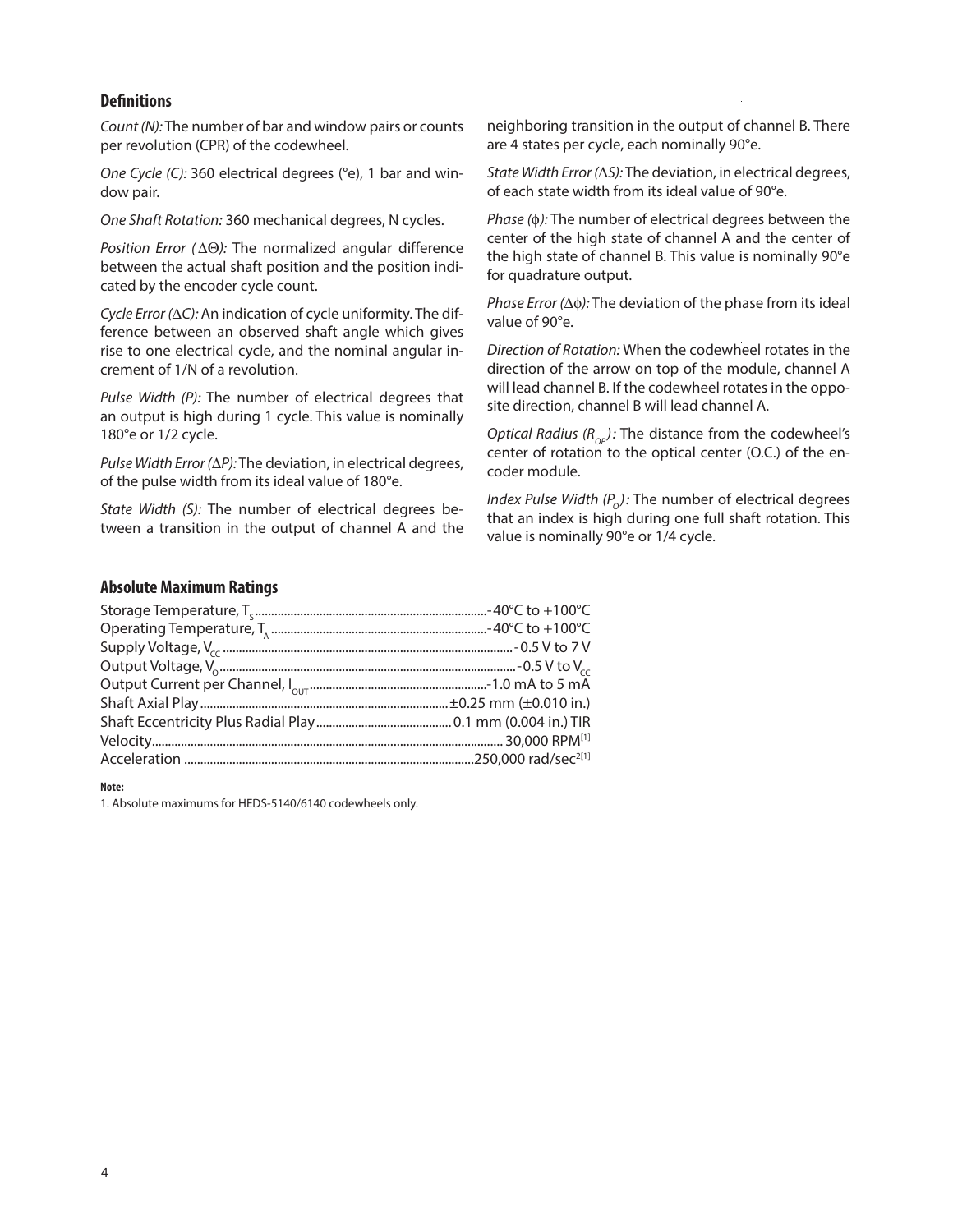#### **Definitions**

*Count (N):* The number of bar and window pairs or counts per revolution (CPR) of the codewheel.

*One Cycle (C):* 360 electrical degrees (°e), 1 bar and window pair.

*One Shaft Rotation:* 360 mechanical degrees, N cycles.

*Position Error (* ∆Θ*):* The normalized angular difference between the actual shaft position and the position indicated by the encoder cycle count.

*Cycle Error (*∆*C):* An indication of cycle uniformity. The difference between an observed shaft angle which gives rise to one electrical cycle, and the nominal angular increment of 1/N of a revolution.

*Pulse Width (P):* The number of electrical degrees that an output is high during 1 cycle. This value is nominally 180°e or 1/2 cycle.

*Pulse Width Error (*∆*P):* The deviation, in electrical degrees, of the pulse width from its ideal value of 180°e.

*State Width (S):* The number of electrical degrees between a transition in the output of channel A and the neighboring transition in the output of channel B. There are 4 states per cycle, each nominally 90°e.

*State Width Error (*∆*S):* The deviation, in electrical degrees, of each state width from its ideal value of 90°e.

*Phase (*φ*):* The number of electrical degrees between the center of the high state of channel A and the center of the high state of channel B. This value is nominally 90°e for quadrature output.

*Phase Error (*∆φ*):* The deviation of the phase from its ideal value of 90°e.

*Direction of Rotation:* When the codewheel rotates in the direction of the arrow on top of the module, channel A will lead channel B. If the codewheel rotates in the opposite direction, channel B will lead channel A.

*Optical Radius (R<sub>oP</sub>):* The distance from the codewheel's center of rotation to the optical center (O.C.) of the encoder module.

*Index Pulse Width (P<sub>o</sub>):* The number of electrical degrees that an index is high during one full shaft rotation. This value is nominally 90°e or 1/4 cycle.

#### **Absolute Maximum Ratings**

**Note:**

1. Absolute maximums for HEDS-5140/6140 codewheels only.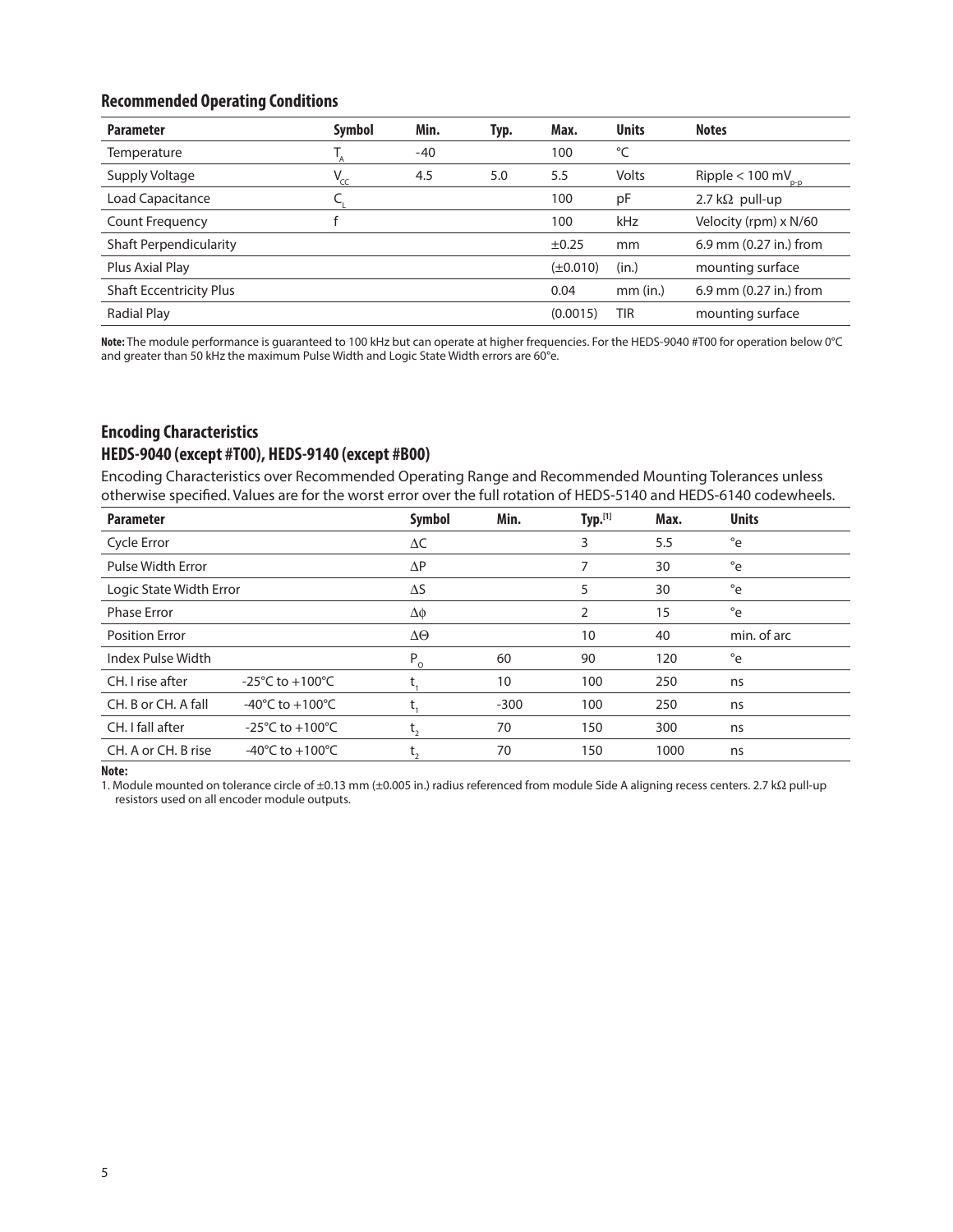#### **Recommended Operating Conditions**

| <b>Parameter</b>               | Symbol   | Min.  | Typ. | Max.          | <b>Units</b> | <b>Notes</b>                    |
|--------------------------------|----------|-------|------|---------------|--------------|---------------------------------|
| Temperature                    |          | $-40$ |      | 100           | °C           |                                 |
| Supply Voltage                 | $V_{cc}$ | 4.5   | 5.0  | 5.5           | Volts        | Ripple $< 100 \text{ mV}_{p-p}$ |
| Load Capacitance               |          |       |      | 100           | pF           | 2.7 k $\Omega$ pull-up          |
| Count Frequency                |          |       |      | 100           | kHz          | Velocity (rpm) x N/60           |
| <b>Shaft Perpendicularity</b>  |          |       |      | ±0.25         | mm           | 6.9 mm (0.27 in.) from          |
| Plus Axial Play                |          |       |      | $(\pm 0.010)$ | (in.)        | mounting surface                |
| <b>Shaft Eccentricity Plus</b> |          |       |      | 0.04          | $mm$ (in.)   | 6.9 mm (0.27 in.) from          |
| Radial Play                    |          |       |      | (0.0015)      | TIR          | mounting surface                |

**Note:** The module performance is guaranteed to 100 kHz but can operate at higher frequencies. For the HEDS-9040 #T00 for operation below 0°C and greater than 50 kHz the maximum Pulse Width and Logic State Width errors are 60°e.

## **Encoding Characteristics HEDS-9040 (except #T00), HEDS-9140 (except #B00)**

Encoding Characteristics over Recommended Operating Range and Recommended Mounting Tolerances unless otherwise specified. Values are for the worst error over the full rotation of HEDS-5140 and HEDS-6140 codewheels.

| <b>Parameter</b>        |                                     | <b>Symbol</b> | Min.   | Typ. <sup>[1]</sup> | Max. | <b>Units</b> |
|-------------------------|-------------------------------------|---------------|--------|---------------------|------|--------------|
| Cycle Error             |                                     | $\Delta C$    |        | 3                   | 5.5  | °e           |
| Pulse Width Error       |                                     | $\Delta P$    |        | 7                   | 30   | $^{\circ}$ e |
| Logic State Width Error |                                     | $\Delta S$    |        | 5                   | 30   | °e           |
| <b>Phase Error</b>      |                                     | Δφ            |        | 2                   | 15   | $^{\circ}$ e |
| <b>Position Error</b>   |                                     | ΔΘ            |        | 10                  | 40   | min. of arc  |
| Index Pulse Width       |                                     | $P_{0}$       | 60     | 90                  | 120  | °e           |
| CH. I rise after        | $-25^{\circ}$ C to $+100^{\circ}$ C |               | 10     | 100                 | 250  | ns           |
| CH. B or CH. A fall     | -40°C to +100°C                     |               | $-300$ | 100                 | 250  | ns           |
| CH. I fall after        | -25°C to +100°C                     |               | 70     | 150                 | 300  | ns           |
| CH. A or CH. B rise     | -40°C to +100°C                     |               | 70     | 150                 | 1000 | ns           |

**Note:**

1. Module mounted on tolerance circle of ±0.13 mm (±0.005 in.) radius referenced from module Side A aligning recess centers. 2.7 kΩ pull-up resistors used on all encoder module outputs.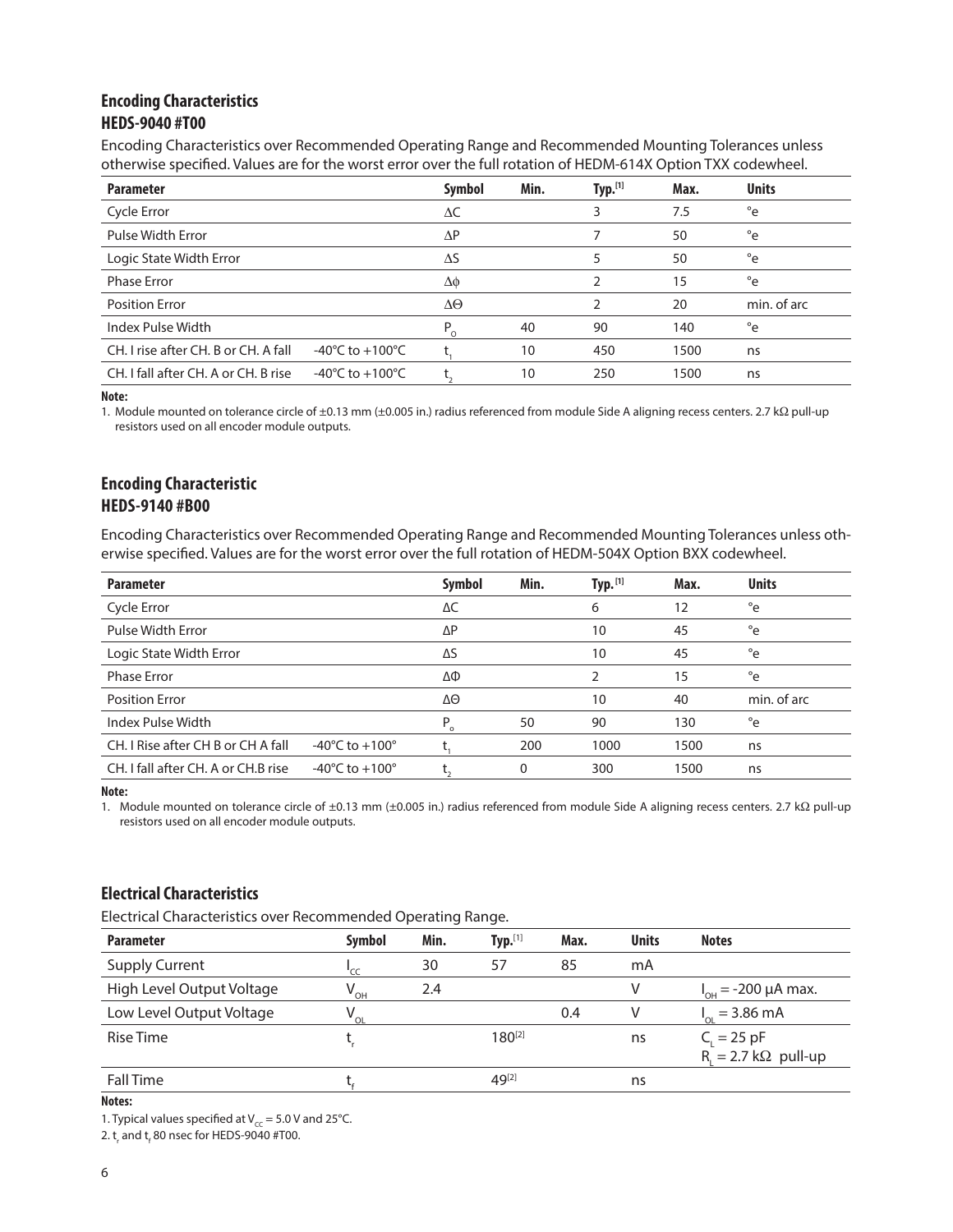## **Encoding Characteristics HEDS-9040 #T00**

Encoding Characteristics over Recommended Operating Range and Recommended Mounting Tolerances unless otherwise specified. Values are for the worst error over the full rotation of HEDM-614X Option TXX codewheel.

| <b>Parameter</b>                     |                 | <b>Symbol</b> | Min. | Typ. <sup>[1]</sup> | Max. | <b>Units</b> |
|--------------------------------------|-----------------|---------------|------|---------------------|------|--------------|
| Cycle Error                          |                 | $\Delta C$    |      | 3                   | 7.5  | $^{\circ}$ e |
| Pulse Width Error                    |                 | $\Delta P$    |      |                     | 50   | °e           |
| Logic State Width Error              |                 | $\Delta S$    |      | 5                   | 50   | °e           |
| <b>Phase Error</b>                   |                 | Δφ            |      |                     | 15   | °e           |
| <b>Position Error</b>                |                 | ΔΘ            |      |                     | 20   | min. of arc  |
| Index Pulse Width                    |                 | $P_{O}$       | 40   | 90                  | 140  | °e           |
| CH. I rise after CH. B or CH. A fall | -40°C to +100°C |               | 10   | 450                 | 1500 | ns           |
| CH. I fall after CH. A or CH. B rise | -40°C to +100°C |               | 10   | 250                 | 1500 | ns           |

**Note:**

1. Module mounted on tolerance circle of ±0.13 mm (±0.005 in.) radius referenced from module Side A aligning recess centers. 2.7 kΩ pull-up resistors used on all encoder module outputs.

## **Encoding Characteristic HEDS-9140 #B00**

Encoding Characteristics over Recommended Operating Range and Recommended Mounting Tolerances unless otherwise specified. Values are for the worst error over the full rotation of HEDM-504X Option BXX codewheel.

| <b>Parameter</b>                    |                                     | Symbol        | Min. | Typ. <sup>[1]</sup> | Max. | <b>Units</b> |
|-------------------------------------|-------------------------------------|---------------|------|---------------------|------|--------------|
| Cycle Error                         |                                     | ΔC            |      | 6                   | 12   | °e           |
| Pulse Width Error                   |                                     | ΔΡ            |      | 10                  | 45   | °e           |
| Logic State Width Error             |                                     | ΔS            |      | 10                  | 45   | °e           |
| <b>Phase Error</b>                  |                                     | ΔΦ            |      |                     | 15   | °e           |
| <b>Position Error</b>               |                                     | ΔΘ            |      | 10                  | 40   | min. of arc  |
| Index Pulse Width                   |                                     | P<br>$\Omega$ | 50   | 90                  | 130  | °e           |
| CH. I Rise after CH B or CH A fall  | $-40^{\circ}$ C to $+100^{\circ}$   |               | 200  | 1000                | 1500 | ns           |
| CH. I fall after CH. A or CH.B rise | -40 $^{\circ}$ C to +100 $^{\circ}$ |               | 0    | 300                 | 1500 | ns           |

**Note:**

1. Module mounted on tolerance circle of ±0.13 mm (±0.005 in.) radius referenced from module Side A aligning recess centers. 2.7 kΩ pull-up resistors used on all encoder module outputs.

## **Electrical Characteristics**

Electrical Characteristics over Recommended Operating Range.

| <b>Parameter</b>          | <b>Symbol</b>   | Min. | Typ. <sup>[1]</sup> | Max. | <b>Units</b> | <b>Notes</b>                                 |
|---------------------------|-----------------|------|---------------------|------|--------------|----------------------------------------------|
| <b>Supply Current</b>     | <b>CC</b>       | 30   | 57                  | 85   | mA           |                                              |
| High Level Output Voltage | $V_{\text{OH}}$ | 2.4  |                     |      |              | $I_{OH} = -200 \mu A$ max.                   |
| Low Level Output Voltage  | $V_{OL}$        |      |                     | 0.4  |              | $I_{\text{ol}} = 3.86 \text{ mA}$            |
| Rise Time                 |                 |      | $180^{[2]}$         |      | ns           | $C_i = 25 pF$<br>$R_i = 2.7 k\Omega$ pull-up |
| <b>Fall Time</b>          |                 |      | 49[2]               |      | ns           |                                              |

**Notes:**

1. Typical values specified at  $V_{cc} = 5.0$  V and 25°C.

2. t<sub>,</sub> and t<sub>f</sub> 80 nsec for HEDS-9040 #T00.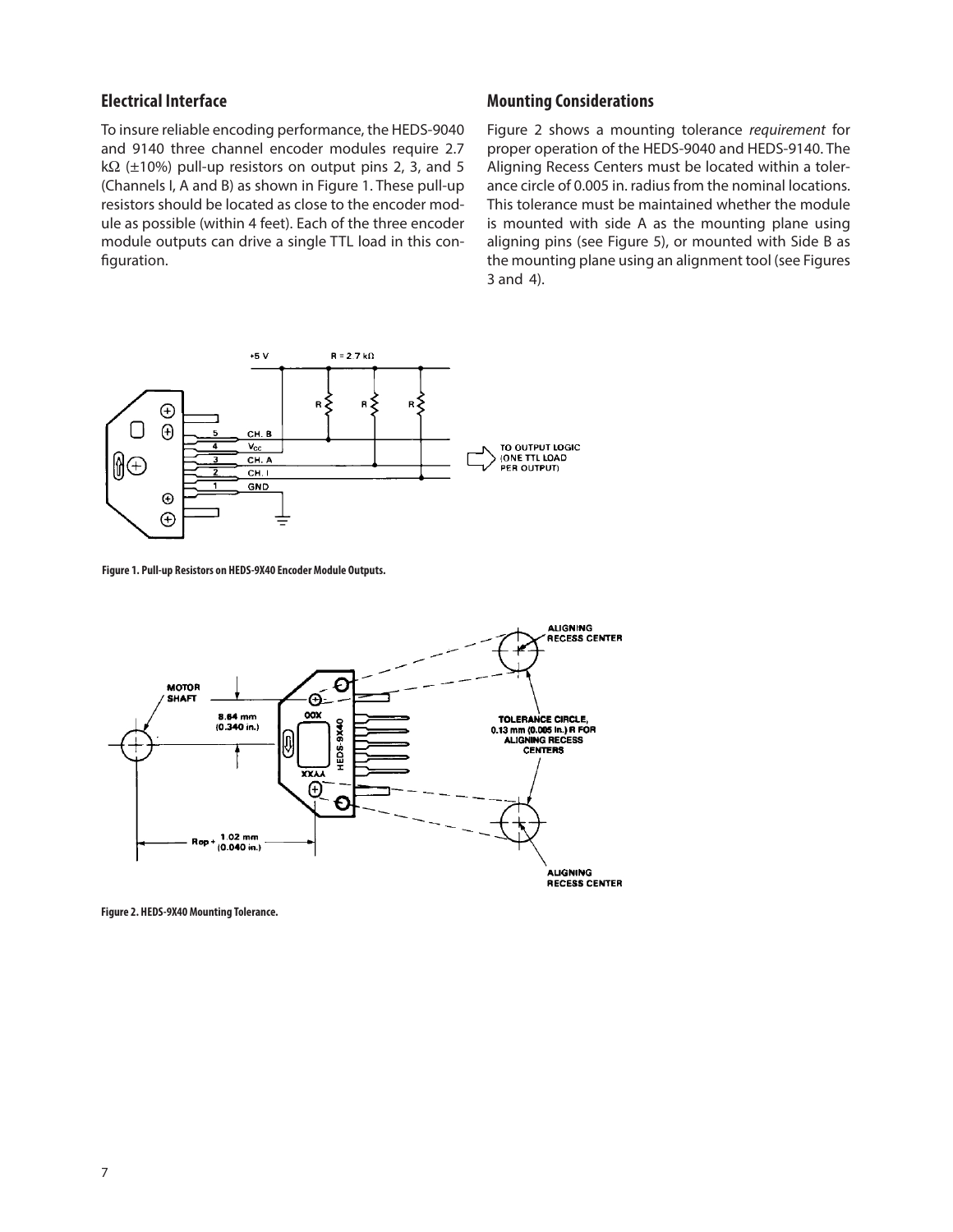#### **Electrical Interface**

To insure reliable encoding performance, the HEDS-9040 and 9140 three channel encoder modules require 2.7 k $\Omega$  (±10%) pull-up resistors on output pins 2, 3, and 5 (Channels I, A and B) as shown in Figure 1. These pull-up resistors should be located as close to the encoder module as possible (within 4 feet). Each of the three encoder module outputs can drive a single TTL load in this configuration.

#### **Mounting Considerations**

Figure 2 shows a mounting tolerance *requirement* for proper operation of the HEDS-9040 and HEDS-9140. The Aligning Recess Centers must be located within a tolerance circle of 0.005 in. radius from the nominal locations. This tolerance must be maintained whether the module is mounted with side A as the mounting plane using aligning pins (see Figure 5), or mounted with Side B as the mounting plane using an alignment tool (see Figures 3 and 4).



**Figure 1. Pull-up Resistors on HEDS-9X40 Encoder Module Outputs.**



**Figure 2. HEDS-9X40 Mounting Tolerance.**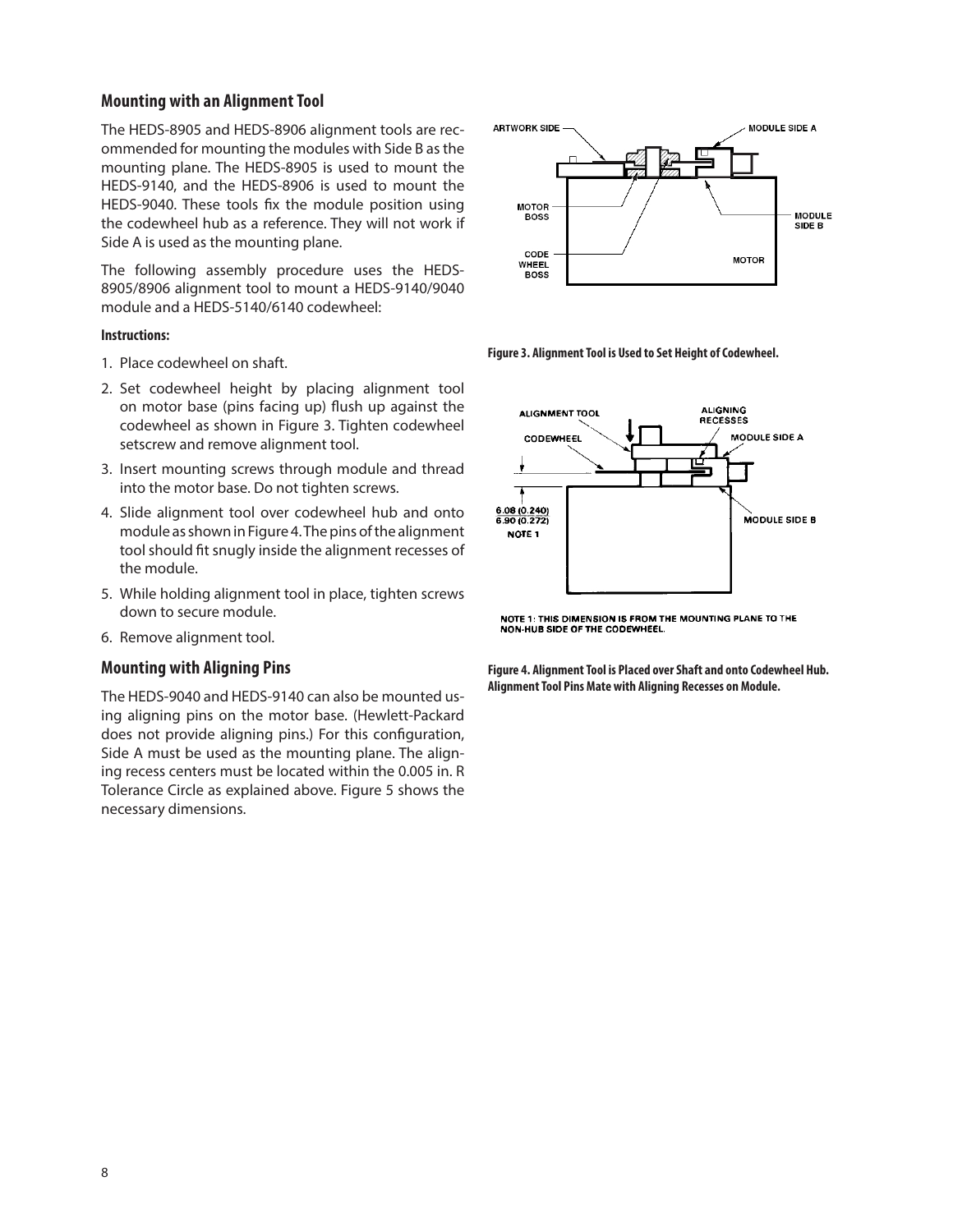#### **Mounting with an Alignment Tool**

The HEDS-8905 and HEDS-8906 alignment tools are recommended for mounting the modules with Side B as the mounting plane. The HEDS-8905 is used to mount the HEDS-9140, and the HEDS-8906 is used to mount the HEDS-9040. These tools fix the module position using the codewheel hub as a reference. They will not work if Side A is used as the mounting plane.

The following assembly procedure uses the HEDS-8905/8906 alignment tool to mount a HEDS-9140/9040 module and a HEDS-5140/6140 codewheel:

#### **Instructions:**

- 1. Place codewheel on shaft.
- 2. Set codewheel height by placing alignment tool on motor base (pins facing up) flush up against the codewheel as shown in Figure 3. Tighten codewheel setscrew and remove alignment tool.
- 3. Insert mounting screws through module and thread into the motor base. Do not tighten screws.
- 4. Slide alignment tool over codewheel hub and onto module as shown in Figure 4. The pins of the alignment tool should fit snugly inside the alignment recesses of the module.
- 5. While holding alignment tool in place, tighten screws down to secure module.
- 6. Remove alignment tool.

#### **Mounting with Aligning Pins**

The HEDS-9040 and HEDS-9140 can also be mounted using aligning pins on the motor base. (Hewlett-Packard does not provide aligning pins.) For this configuration, Side A must be used as the mounting plane. The aligning recess centers must be located within the 0.005 in. R Tolerance Circle as explained above. Figure 5 shows the necessary dimensions.



**Figure 3. Alignment Tool is Used to Set Height of Codewheel.**



NOTE 1: THIS DIMENSION IS FROM THE MOUNTING PLANE TO THE NON-HUB SIDE OF THE CODEWHEEL

**Figure 4. Alignment Tool is Placed over Shaft and onto Codewheel Hub. Alignment Tool Pins Mate with Aligning Recesses on Module.**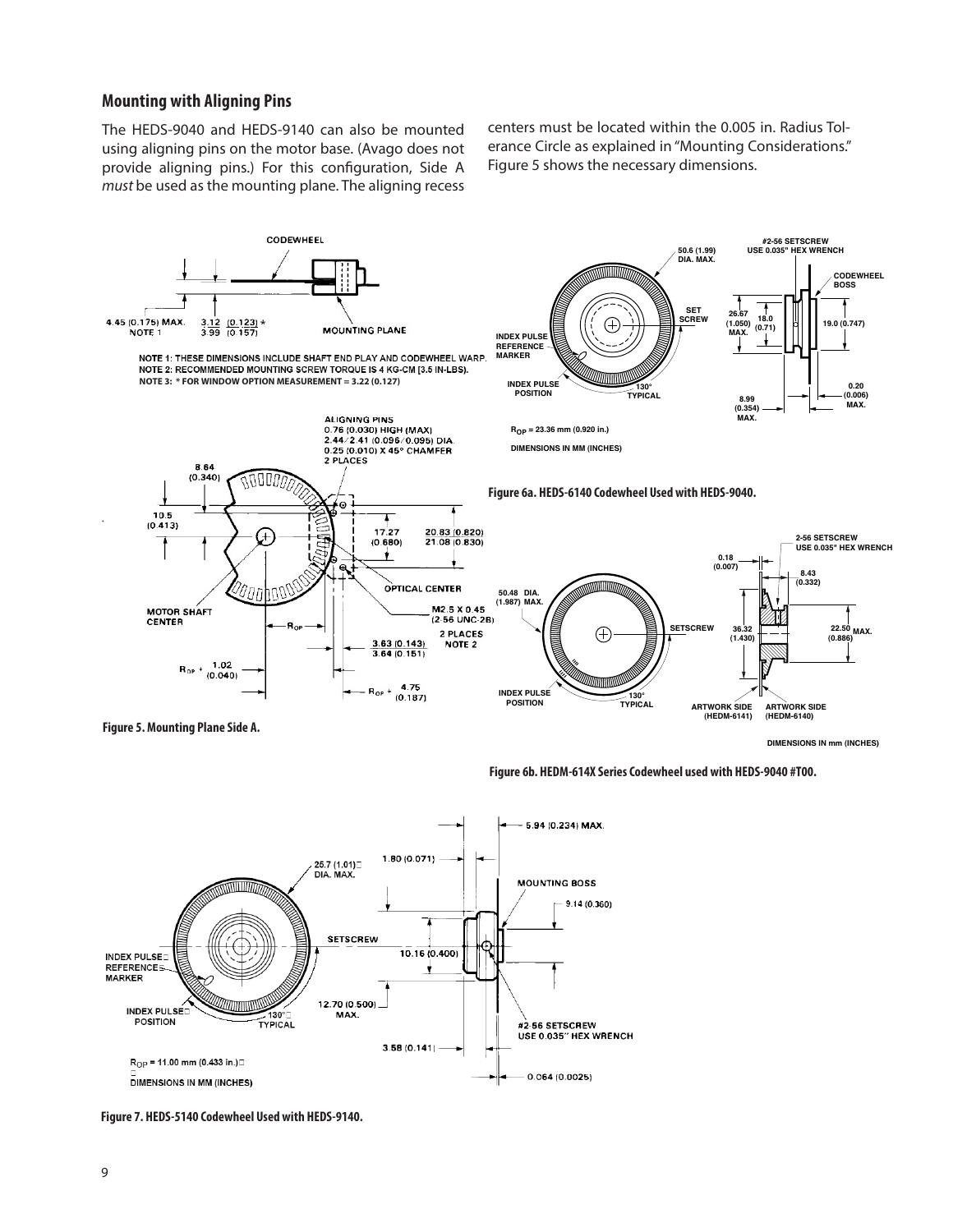#### **Mounting with Aligning Pins**

The HEDS-9040 and HEDS-9140 can also be mounted using aligning pins on the motor base. (Avago does not provide aligning pins.) For this configuration, Side A *must* be used as the mounting plane. The aligning recess centers must be located within the 0.005 in. Radius Tolerance Circle as explained in "Mounting Considerations." Figure 5 shows the necessary dimensions.



**Figure 5. Mounting Plane Side A.**

**DIMENSIONS IN mm (INCHES)**

**Figure 6b. HEDM-614X Series Codewheel used with HEDS-9040 #T00.**



**Figure 7. HEDS-5140 Codewheel Used with HEDS-9140.**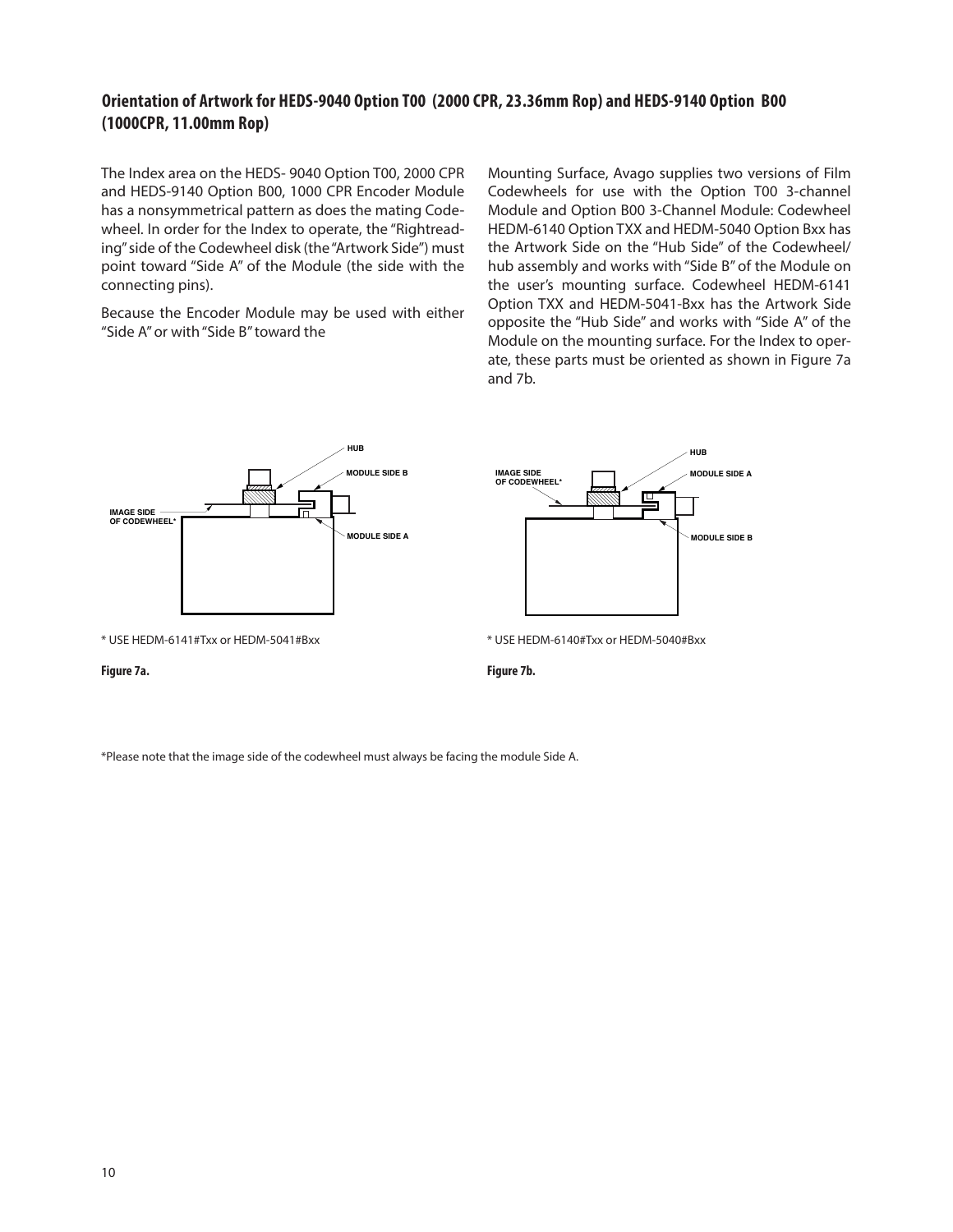## **Orientation of Artwork for HEDS-9040 Option T00 (2000 CPR, 23.36mm Rop) and HEDS-9140 Option B00 (1000CPR, 11.00mm Rop)**

The Index area on the HEDS- 9040 Option T00, 2000 CPR and HEDS-9140 Option B00, 1000 CPR Encoder Module has a nonsymmetrical pattern as does the mating Codewheel. In order for the Index to operate, the "Rightreading" side of the Codewheel disk (the "Artwork Side") must point toward "Side A" of the Module (the side with the connecting pins).

Because the Encoder Module may be used with either "Side A" or with "Side B" toward the

Mounting Surface, Avago supplies two versions of Film Codewheels for use with the Option T00 3-channel Module and Option B00 3-Channel Module: Codewheel HEDM-6140 Option TXX and HEDM-5040 Option Bxx has the Artwork Side on the "Hub Side" of the Codewheel/ hub assembly and works with "Side B" of the Module on the user's mounting surface. Codewheel HEDM-6141 Option TXX and HEDM-5041-Bxx has the Artwork Side opposite the "Hub Side" and works with "Side A" of the Module on the mounting surface. For the Index to operate, these parts must be oriented as shown in Figure 7a and 7b.



\* USE HEDM-6141#Txx or HEDM-5041#Bxx

**Figure 7a.**



\* USE HEDM-6140#Txx or HEDM-5040#Bxx



\*Please note that the image side of the codewheel must always be facing the module Side A.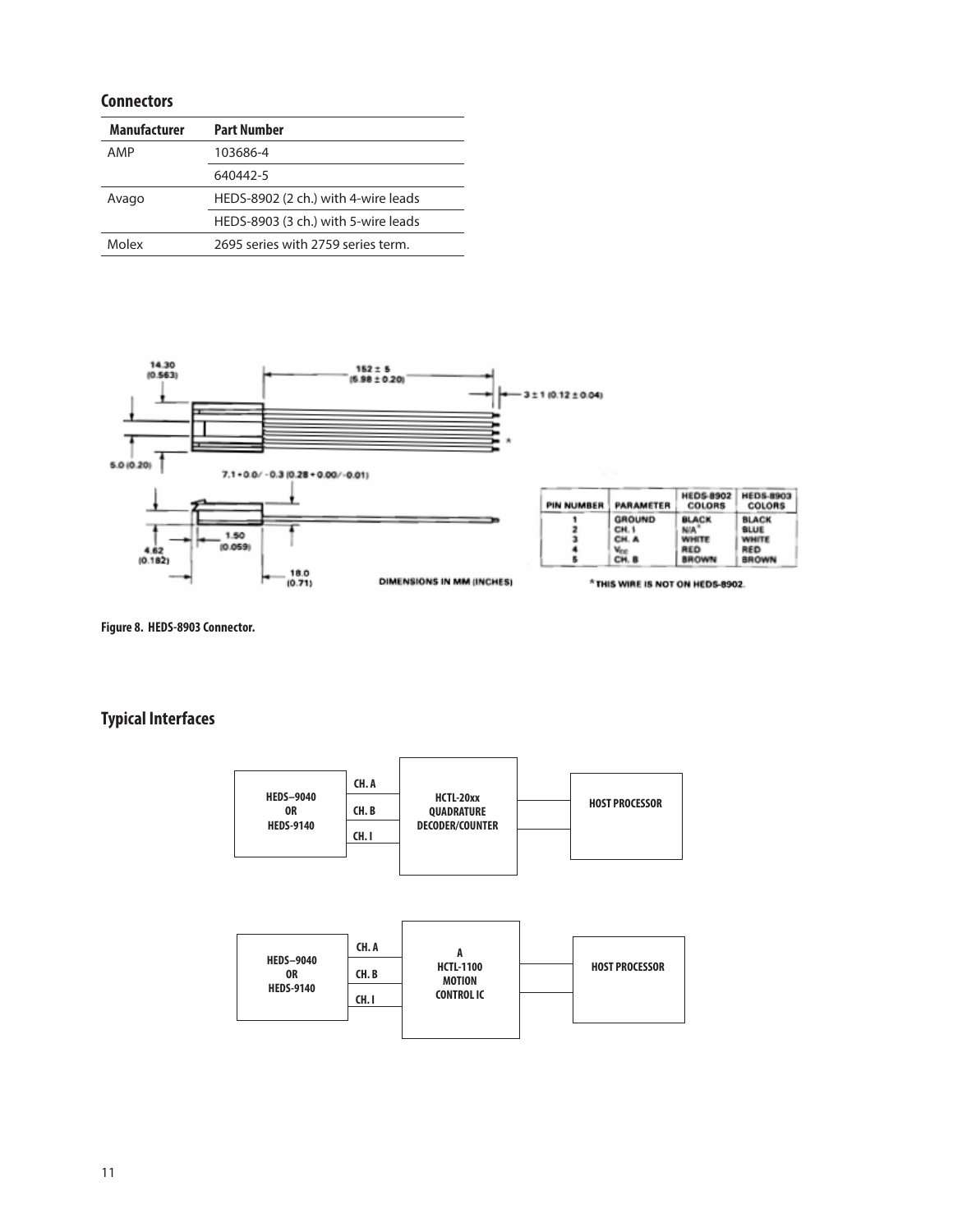#### **Connectors**

| Manufacturer | <b>Part Number</b>                  |
|--------------|-------------------------------------|
| AMP          | 103686-4                            |
|              | 640442-5                            |
| Avago        | HEDS-8902 (2 ch.) with 4-wire leads |
|              | HEDS-8903 (3 ch.) with 5-wire leads |
| Molex        | 2695 series with 2759 series term.  |



**Figure 8. HEDS-8903 Connector.**

## **Typical Interfaces**

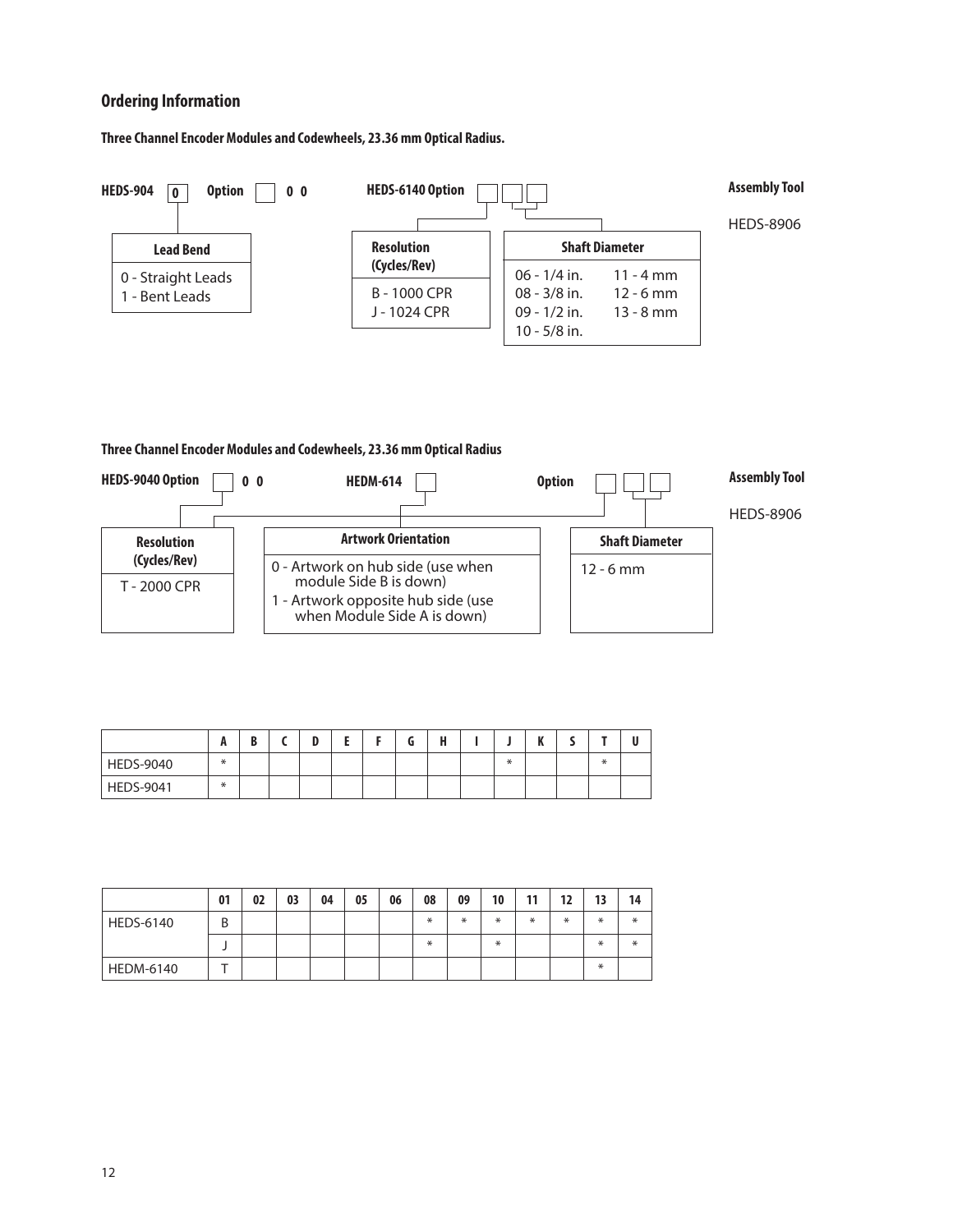## **Ordering Information**

**Three Channel Encoder Modules and Codewheels, 23.36 mm Optical Radius.**



#### **Three Channel Encoder Modules and Codewheels, 23.36 mm Optical Radius**



|                  | n | n<br>ш |  |  | ш<br>п |   | $\overline{ }$<br>n |   |  |
|------------------|---|--------|--|--|--------|---|---------------------|---|--|
| <b>HEDS-9040</b> | ∗ |        |  |  |        | ⋇ |                     | ∗ |  |
| <b>HEDS-9041</b> | ∗ |        |  |  |        |   |                     |   |  |

|                  | 01 | 02 | 03 | 04 | 05 | 06 | 08  | 09 | 10 | 11 | 12 | 13 | 14 |
|------------------|----|----|----|----|----|----|-----|----|----|----|----|----|----|
| <b>HEDS-6140</b> | B  |    |    |    |    |    | $*$ | ∗  | ⋇  | ∗  | ⋇  | ∗  | ∗  |
|                  |    |    |    |    |    |    | $*$ |    | ⋇  |    |    | ∗  | ∗  |
| <b>HEDM-6140</b> |    |    |    |    |    |    |     |    |    |    |    | ∗  |    |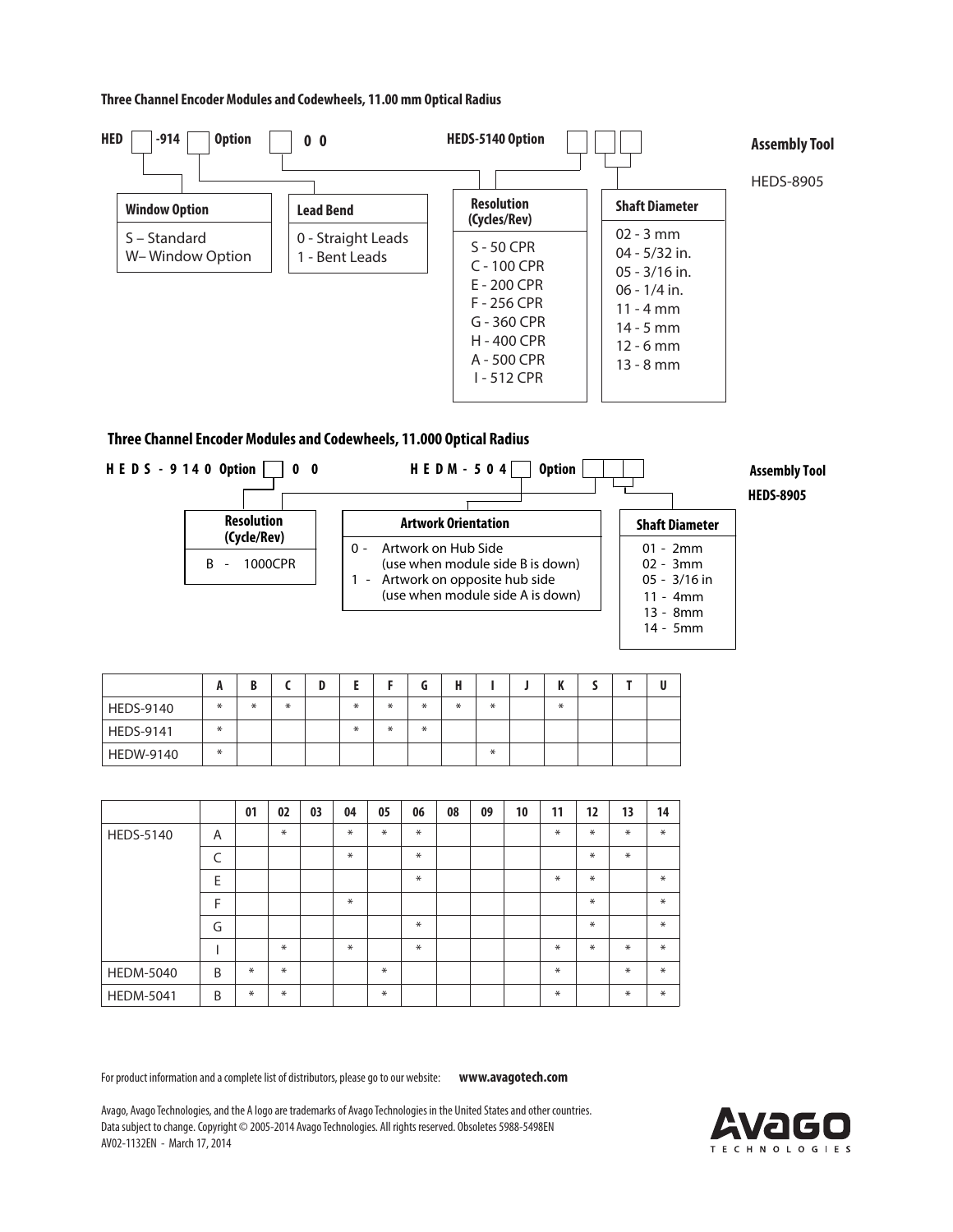#### **Three Channel Encoder Modules and Codewheels, 11.00 mm Optical Radius**



#### **Three Channel Encoder Modules and Codewheels, 11.000 Optical Radius**



|                  | -      | D<br>D |   | D |     |   | u | ш<br>п |        | и<br>n |  | ш<br>u |
|------------------|--------|--------|---|---|-----|---|---|--------|--------|--------|--|--------|
| <b>HEDS-9140</b> | ∗      | $*$    | ∗ |   | $*$ | ⋇ | ∗ | ∗      | $\ast$ | ∗      |  |        |
| <b>HEDS-9141</b> | $\ast$ |        |   |   | $*$ | ⋇ | ∗ |        |        |        |  |        |
| <b>HEDW-9140</b> | $\ast$ |        |   |   |     |   |   |        | $\ast$ |        |  |        |

|                  |   | 01  | 02     | 03 | 04     | 05     | 06     | 08 | 09 | 10 | 11  | 12     | 13     | 14     |
|------------------|---|-----|--------|----|--------|--------|--------|----|----|----|-----|--------|--------|--------|
| <b>HEDS-5140</b> | A |     | $\ast$ |    | $*$    | $*$    | ∗      |    |    |    | $*$ | $\ast$ | $\ast$ | $\ast$ |
|                  | C |     |        |    | $\ast$ |        | $\ast$ |    |    |    |     | $\ast$ | $\ast$ |        |
|                  | E |     |        |    |        |        | $\ast$ |    |    |    | ∗   | $\ast$ |        | $\ast$ |
|                  | F |     |        |    | $\ast$ |        |        |    |    |    |     | ∗      |        | $\ast$ |
|                  | G |     |        |    |        |        | $\ast$ |    |    |    |     | ∗      |        | $\ast$ |
|                  |   |     | $\ast$ |    | $\ast$ |        | ∗      |    |    |    | ∗   | ∗      | $\ast$ | $\ast$ |
| <b>HEDM-5040</b> | B | $*$ | $\ast$ |    |        | $\ast$ |        |    |    |    | ⋇   |        | $\ast$ | $\ast$ |
| <b>HEDM-5041</b> | B | $*$ | $\ast$ |    |        | $\ast$ |        |    |    |    | ⋇   |        | $\ast$ | $\ast$ |

For product information and a complete list of distributors, please go to our website: **www.avagotech.com**

**TECHNOLOGIES** 

Avago, Avago Technologies, and the A logo are trademarks of Avago Technologies in the United States and other countries. Data subject to change. Copyright © 2005-2014 Avago Technologies. All rights reserved. Obsoletes 5988-5498EN AV02-1132EN - March 17, 2014